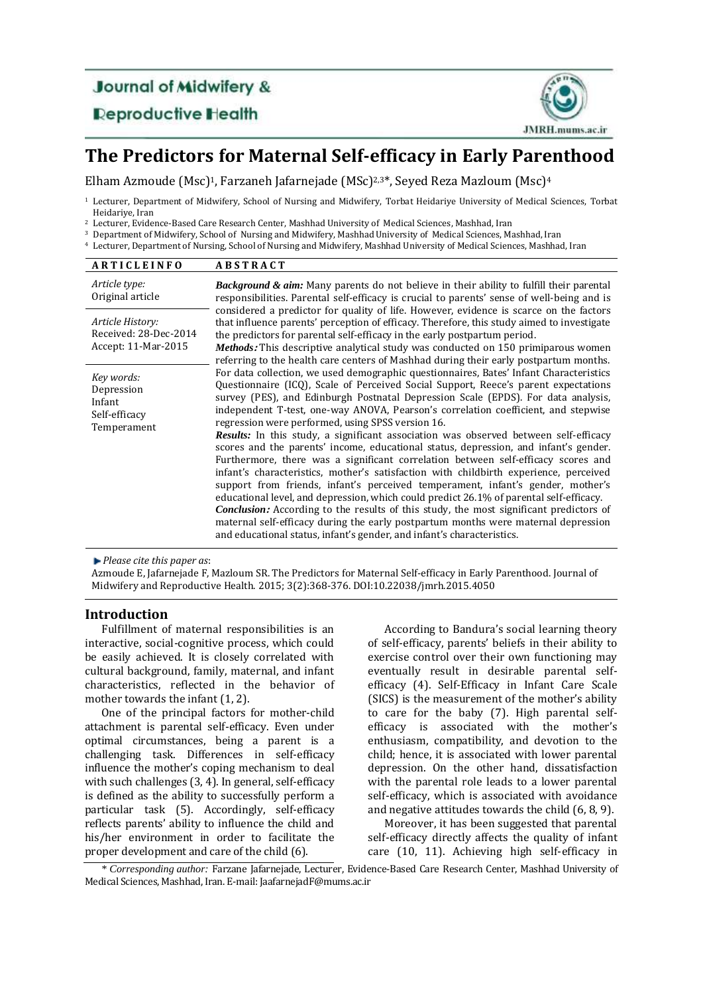# Journal of Midwifery & **Reproductive Health**



## **The Predictors for Maternal Self-efficacy in Early Parenthood**

Elham Azmoude (Msc)<sup>1</sup>, Farzaneh Jafarnejade (MSc)<sup>2,3\*</sup>, Seyed Reza Mazloum (Msc)<sup>4</sup>

<sup>1</sup> Lecturer, Department of Midwifery, School of Nursing and Midwifery, Torbat Heidariye University of Medical Sciences, Torbat Heidariye, Iran

<sup>2</sup> Lecturer, Evidence-Based Care Research Center, Mashhad University of Medical Sciences, Mashhad, Iran

<sup>3</sup> Department of Midwifery, School of Nursing and Midwifery, Mashhad University of Medical Sciences, Mashhad, Iran <sup>4</sup> Lecturer, Department of Nursing, School of Nursing and Midwifery, Mashhad University of Medical Sciences, Mashhad, Iran

| ARTICLEINFO                                                        | <b>ABSTRACT</b>                                                                                                                                                                                                                                                                                                                                                                                                                                                                                                                                                                                                                                                                                                                                                                                                                                                                                                                                                                                                                                                                                                                                                                                                                   |
|--------------------------------------------------------------------|-----------------------------------------------------------------------------------------------------------------------------------------------------------------------------------------------------------------------------------------------------------------------------------------------------------------------------------------------------------------------------------------------------------------------------------------------------------------------------------------------------------------------------------------------------------------------------------------------------------------------------------------------------------------------------------------------------------------------------------------------------------------------------------------------------------------------------------------------------------------------------------------------------------------------------------------------------------------------------------------------------------------------------------------------------------------------------------------------------------------------------------------------------------------------------------------------------------------------------------|
| Article type:<br>Original article                                  | <b>Background &amp; aim:</b> Many parents do not believe in their ability to fulfill their parental<br>responsibilities. Parental self-efficacy is crucial to parents' sense of well-being and is                                                                                                                                                                                                                                                                                                                                                                                                                                                                                                                                                                                                                                                                                                                                                                                                                                                                                                                                                                                                                                 |
| Article History:<br>Received: 28-Dec-2014<br>Accept: 11-Mar-2015   | considered a predictor for quality of life. However, evidence is scarce on the factors<br>that influence parents' perception of efficacy. Therefore, this study aimed to investigate<br>the predictors for parental self-efficacy in the early postpartum period.<br><b>Methods:</b> This descriptive analytical study was conducted on 150 primiparous women<br>referring to the health care centers of Mashhad during their early postpartum months.                                                                                                                                                                                                                                                                                                                                                                                                                                                                                                                                                                                                                                                                                                                                                                            |
| Key words:<br>Depression<br>Infant<br>Self-efficacy<br>Temperament | For data collection, we used demographic questionnaires, Bates' Infant Characteristics<br>Questionnaire (ICQ), Scale of Perceived Social Support, Reece's parent expectations<br>survey (PES), and Edinburgh Postnatal Depression Scale (EPDS). For data analysis,<br>independent T-test, one-way ANOVA, Pearson's correlation coefficient, and stepwise<br>regression were performed, using SPSS version 16.<br><b>Results:</b> In this study, a significant association was observed between self-efficacy<br>scores and the parents' income, educational status, depression, and infant's gender.<br>Furthermore, there was a significant correlation between self-efficacy scores and<br>infant's characteristics, mother's satisfaction with childbirth experience, perceived<br>support from friends, infant's perceived temperament, infant's gender, mother's<br>educational level, and depression, which could predict 26.1% of parental self-efficacy.<br><b>Conclusion:</b> According to the results of this study, the most significant predictors of<br>maternal self-efficacy during the early postpartum months were maternal depression<br>and educational status, infant's gender, and infant's characteristics. |

*Please cite this paper as*:

Azmoude E, Jafarnejade F, Mazloum SR. The Predictors for Maternal Self-efficacy in Early Parenthood. Journal of Midwifery and Reproductive Health. 2015; 3(2):368-376. DOI:10.22038/jmrh.2015.4050

### **Introduction**

Fulfillment of maternal responsibilities is an interactive, social-cognitive process, which could be easily achieved. It is closely correlated with cultural background, family, maternal, and infant characteristics, reflected in the behavior of mother towards the infant (1, 2).

One of the principal factors for mother-child attachment is parental self-efficacy. Even under optimal circumstances, being a parent is a challenging task. Differences in self-efficacy influence the mother's coping mechanism to deal with such challenges (3, 4). In general, self-efficacy is defined as the ability to successfully perform a particular task (5). Accordingly, self-efficacy reflects parents' ability to influence the child and his/her environment in order to facilitate the proper development and care of the child (6).

According to Bandura's social learning theory of self-efficacy, parents' beliefs in their ability to exercise control over their own functioning may eventually result in desirable parental selfefficacy (4). Self-Efficacy in Infant Care Scale (SICS) is the measurement of the mother's ability to care for the baby (7). High parental selfefficacy is associated with the mother's enthusiasm, compatibility, and devotion to the child; hence, it is associated with lower parental depression. On the other hand, dissatisfaction with the parental role leads to a lower parental self-efficacy, which is associated with avoidance and negative attitudes towards the child (6, 8, 9).

Moreover, it has been suggested that parental self-efficacy directly affects the quality of infant care (10, 11). Achieving high self-efficacy in

\* *Corresponding author:* Farzane Jafarnejade, Lecturer, Evidence-Based Care Research Center, Mashhad University of Medical Sciences, Mashhad, Iran. E-mail[: JaafarnejadF@mums.ac.ir](mailto:JaafarnejadF@mums.ac.ir)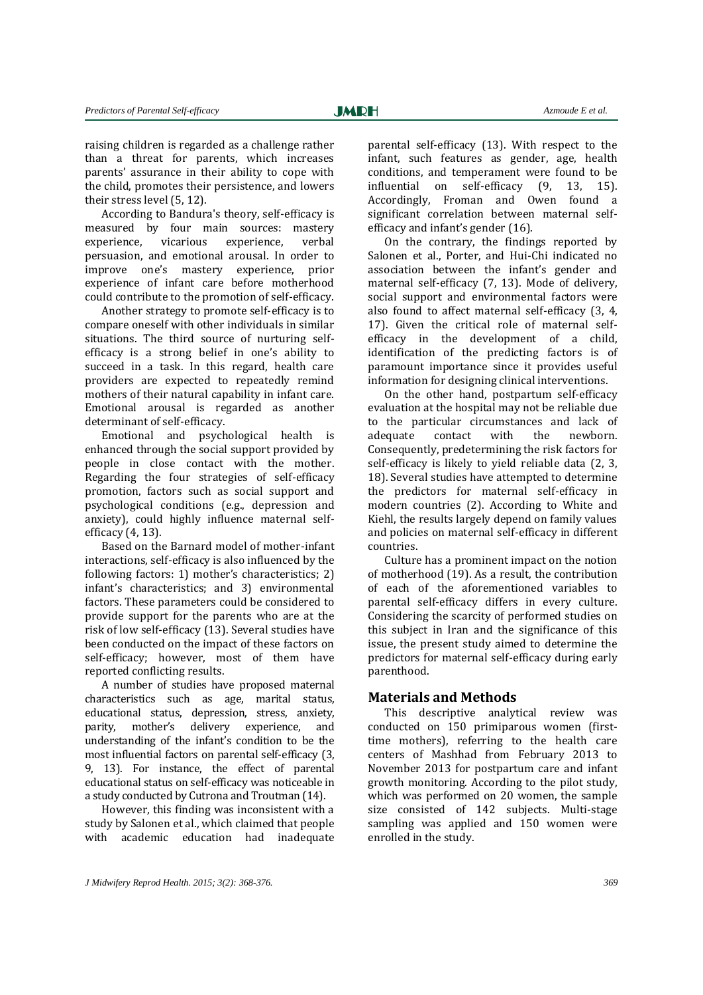raising children is regarded as a challenge rather than a threat for parents, which increases parents' assurance in their ability to cope with the child, promotes their persistence, and lowers their stress level (5, 12).

According to Bandura's theory, self-efficacy is measured by four main sources: mastery experience, vicarious experience, verbal persuasion, and emotional arousal. In order to improve one's mastery experience, prior experience of infant care before motherhood could contribute to the promotion of self-efficacy.

Another strategy to promote self-efficacy is to compare oneself with other individuals in similar situations. The third source of nurturing selfefficacy is a strong belief in one's ability to succeed in a task. In this regard, health care providers are expected to repeatedly remind mothers of their natural capability in infant care. Emotional arousal is regarded as another determinant of self-efficacy.

Emotional and psychological health is enhanced through the social support provided by people in close contact with the mother. Regarding the four strategies of self-efficacy promotion, factors such as social support and psychological conditions (e.g., depression and anxiety), could highly influence maternal selfefficacy (4, 13).

Based on the Barnard model of mother-infant interactions, self-efficacy is also influenced by the following factors: 1) mother's characteristics; 2) infant's characteristics; and 3) environmental factors. These parameters could be considered to provide support for the parents who are at the risk of low self-efficacy (13). Several studies have been conducted on the impact of these factors on self-efficacy; however, most of them have reported conflicting results.

A number of studies have proposed maternal characteristics such as age, marital status, educational status, depression, stress, anxiety, parity, mother's delivery experience, and understanding of the infant's condition to be the most influential factors on parental self-efficacy (3, 9, 13). For instance, the effect of parental educational status on self-efficacy was noticeable in a study conducted by Cutrona and Troutman (14).

However, this finding was inconsistent with a study by Salonen et al., which claimed that people with academic education had inadequate parental self-efficacy (13). With respect to the infant, such features as gender, age, health conditions, and temperament were found to be influential on self-efficacy (9, 13, 15). Accordingly, Froman and Owen found a significant correlation between maternal selfefficacy and infant's gender (16).

On the contrary, the findings reported by Salonen et al., Porter, and Hui-Chi indicated no association between the infant's gender and maternal self-efficacy (7, 13). Mode of delivery, social support and environmental factors were also found to affect maternal self-efficacy (3, 4, 17). Given the critical role of maternal selfefficacy in the development of a child, identification of the predicting factors is of paramount importance since it provides useful information for designing clinical interventions.

On the other hand, postpartum self-efficacy evaluation at the hospital may not be reliable due to the particular circumstances and lack of adequate contact with the newborn. Consequently, predetermining the risk factors for self-efficacy is likely to yield reliable data (2, 3, 18). Several studies have attempted to determine the predictors for maternal self-efficacy in modern countries (2). According to White and Kiehl, the results largely depend on family values and policies on maternal self-efficacy in different countries.

Culture has a prominent impact on the notion of motherhood (19). As a result, the contribution of each of the aforementioned variables to parental self-efficacy differs in every culture. Considering the scarcity of performed studies on this subject in Iran and the significance of this issue, the present study aimed to determine the predictors for maternal self-efficacy during early parenthood.

#### **Materials and Methods**

This descriptive analytical review was conducted on 150 primiparous women (firsttime mothers), referring to the health care centers of Mashhad from February 2013 to November 2013 for postpartum care and infant growth monitoring. According to the pilot study, which was performed on 20 women, the sample size consisted of 142 subjects. Multi-stage sampling was applied and 150 women were enrolled in the study.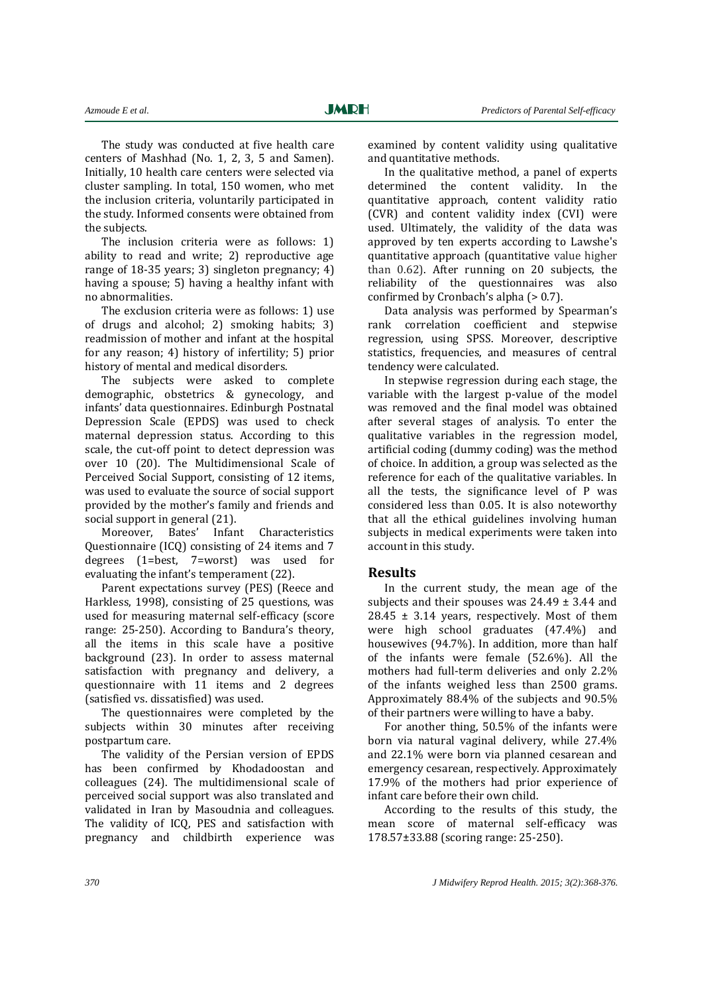The study was conducted at five health care centers of Mashhad (No. 1, 2, 3, 5 and Samen). Initially, 10 health care centers were selected via cluster sampling. In total, 150 women, who met the inclusion criteria, voluntarily participated in the study. Informed consents were obtained from the subjects.

The inclusion criteria were as follows: 1) ability to read and write; 2) reproductive age range of 18-35 years; 3) singleton pregnancy; 4) having a spouse; 5) having a healthy infant with no abnormalities.

The exclusion criteria were as follows: 1) use of drugs and alcohol; 2) smoking habits; 3) readmission of mother and infant at the hospital for any reason; 4) history of infertility; 5) prior history of mental and medical disorders.

The subjects were asked to complete demographic, obstetrics & gynecology, and infants' data questionnaires. Edinburgh Postnatal Depression Scale (EPDS) was used to check maternal depression status. According to this scale, the cut-off point to detect depression was over 10 (20). The Multidimensional Scale of Perceived Social Support, consisting of 12 items, was used to evaluate the source of social support provided by the mother's family and friends and social support in general (21).

Moreover, Bates' Infant Characteristics Questionnaire (ICQ) consisting of 24 items and 7 degrees (1=best, 7=worst) was used for evaluating the infant's temperament (22).

Parent expectations survey (PES) (Reece and Harkless, 1998), consisting of 25 questions, was used for measuring maternal self-efficacy (score range: 25-250). According to Bandura's theory, all the items in this scale have a positive background (23). In order to assess maternal satisfaction with pregnancy and delivery, a questionnaire with 11 items and 2 degrees (satisfied vs. dissatisfied) was used.

The questionnaires were completed by the subjects within 30 minutes after receiving postpartum care.

The validity of the Persian version of EPDS has been confirmed by Khodadoostan and colleagues (24). The multidimensional scale of perceived social support was also translated and validated in Iran by Masoudnia and colleagues. The validity of ICQ, PES and satisfaction with pregnancy and childbirth experience was

examined by content validity using qualitative and quantitative methods.

In the qualitative method, a panel of experts determined the content validity. In the quantitative approach, content validity ratio (CVR) and content validity index (CVI) were used. Ultimately, the validity of the data was approved by ten experts according to Lawshe's quantitative approach (quantitative value higher than 0.62). After running on 20 subjects, the reliability of the questionnaires was also confirmed by Cronbach's alpha (> 0.7).

Data analysis was performed by Spearman's rank correlation coefficient and stepwise regression, using SPSS. Moreover, descriptive statistics, frequencies, and measures of central tendency were calculated.

In stepwise regression during each stage, the variable with the largest p-value of the model was removed and the final model was obtained after several stages of analysis. To enter the qualitative variables in the regression model, artificial coding (dummy coding) was the method of choice. In addition, a group was selected as the reference for each of the qualitative variables. In all the tests, the significance level of P was considered less than 0.05. It is also noteworthy that all the ethical guidelines involving human subjects in medical experiments were taken into account in this study.

#### **Results**

In the current study, the mean age of the subjects and their spouses was  $24.49 \pm 3.44$  and  $28.45 \pm 3.14$  years, respectively. Most of them were high school graduates (47.4%) and housewives (94.7%). In addition, more than half of the infants were female (52.6%). All the mothers had full-term deliveries and only 2.2% of the infants weighed less than 2500 grams. Approximately 88.4% of the subjects and 90.5% of their partners were willing to have a baby.

For another thing, 50.5% of the infants were born via natural vaginal delivery, while 27.4% and 22.1% were born via planned cesarean and emergency cesarean, respectively. Approximately 17.9% of the mothers had prior experience of infant care before their own child.

According to the results of this study, the mean score of maternal self-efficacy was 178.57±33.88 (scoring range: 25-250).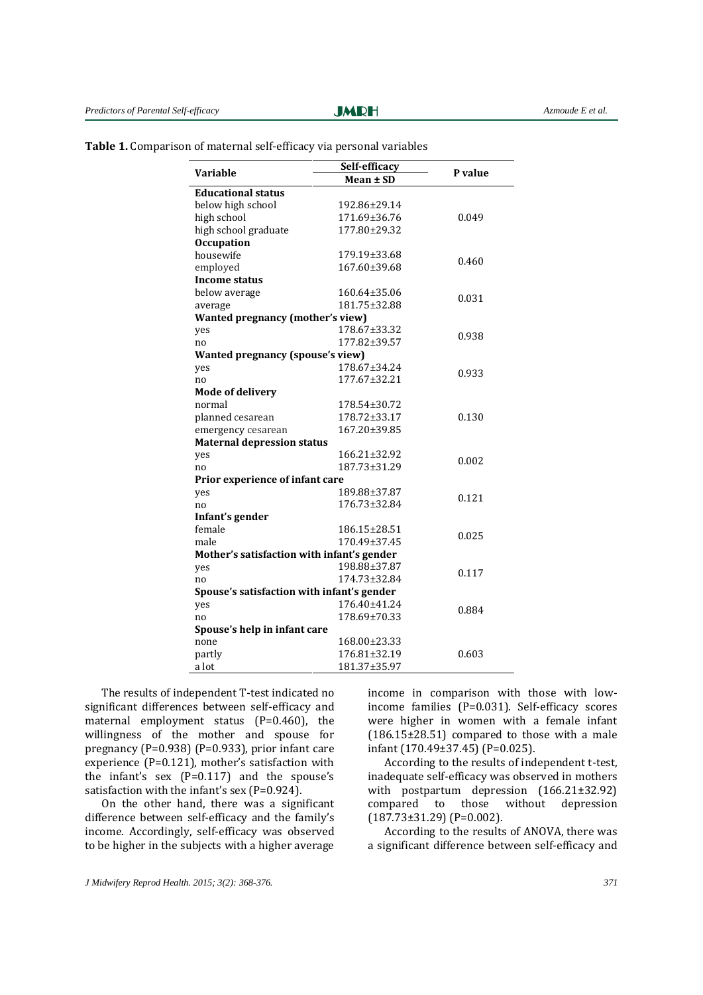| Variable                                   | Self-efficacy      | P value |  |  |  |  |  |  |
|--------------------------------------------|--------------------|---------|--|--|--|--|--|--|
|                                            | Mean ± SD          |         |  |  |  |  |  |  |
| <b>Educational status</b>                  |                    |         |  |  |  |  |  |  |
| below high school                          | 192.86±29.14       |         |  |  |  |  |  |  |
| high school                                | 171.69±36.76       | 0.049   |  |  |  |  |  |  |
| high school graduate                       | $177.80 \pm 29.32$ |         |  |  |  |  |  |  |
| <b>Occupation</b>                          |                    |         |  |  |  |  |  |  |
| housewife                                  | 179.19±33.68       |         |  |  |  |  |  |  |
| employed                                   | 167.60±39.68       | 0.460   |  |  |  |  |  |  |
| <b>Income status</b>                       |                    |         |  |  |  |  |  |  |
| below average                              | 160.64±35.06       |         |  |  |  |  |  |  |
| average                                    | 181.75±32.88       | 0.031   |  |  |  |  |  |  |
| <b>Wanted pregnancy (mother's view)</b>    |                    |         |  |  |  |  |  |  |
| yes                                        | 178.67±33.32       |         |  |  |  |  |  |  |
| no                                         | $177.82 \pm 39.57$ | 0.938   |  |  |  |  |  |  |
| <b>Wanted pregnancy (spouse's view)</b>    |                    |         |  |  |  |  |  |  |
| yes                                        | 178.67±34.24       |         |  |  |  |  |  |  |
| no                                         | 177.67±32.21       | 0.933   |  |  |  |  |  |  |
| <b>Mode of delivery</b>                    |                    |         |  |  |  |  |  |  |
| normal                                     | 178.54±30.72       |         |  |  |  |  |  |  |
| planned cesarean                           | $178.72 \pm 33.17$ | 0.130   |  |  |  |  |  |  |
| emergency cesarean                         | 167.20±39.85       |         |  |  |  |  |  |  |
| <b>Maternal depression status</b>          |                    |         |  |  |  |  |  |  |
| yes                                        | $166.21 \pm 32.92$ |         |  |  |  |  |  |  |
| no                                         | 187.73±31.29       | 0.002   |  |  |  |  |  |  |
| Prior experience of infant care            |                    |         |  |  |  |  |  |  |
| yes                                        | 189.88±37.87       |         |  |  |  |  |  |  |
| no                                         | $176.73 \pm 32.84$ | 0.121   |  |  |  |  |  |  |
| Infant's gender                            |                    |         |  |  |  |  |  |  |
| female                                     | $186.15 \pm 28.51$ |         |  |  |  |  |  |  |
| male                                       | 170.49±37.45       | 0.025   |  |  |  |  |  |  |
| Mother's satisfaction with infant's gender |                    |         |  |  |  |  |  |  |
| yes                                        | 198.88±37.87       |         |  |  |  |  |  |  |
| no                                         | 174.73±32.84       | 0.117   |  |  |  |  |  |  |
| Spouse's satisfaction with infant's gender |                    |         |  |  |  |  |  |  |
| yes                                        | 176.40±41.24       |         |  |  |  |  |  |  |
| no                                         | 178.69±70.33       | 0.884   |  |  |  |  |  |  |
| Spouse's help in infant care               |                    |         |  |  |  |  |  |  |
| none                                       | 168.00±23.33       |         |  |  |  |  |  |  |
| partly                                     | 176.81±32.19       | 0.603   |  |  |  |  |  |  |
| a lot                                      | 181.37±35.97       |         |  |  |  |  |  |  |

#### **Table 1.** Comparison of maternal self-efficacy via personal variables

The results of independent T-test indicated no significant differences between self-efficacy and maternal employment status (P=0.460), the willingness of the mother and spouse for pregnancy (P=0.938) (P=0.933), prior infant care experience (P=0.121), mother's satisfaction with the infant's sex  $(P=0.117)$  and the spouse's satisfaction with the infant's sex (P=0.924).

On the other hand, there was a significant difference between self-efficacy and the family's income. Accordingly, self-efficacy was observed to be higher in the subjects with a higher average income in comparison with those with lowincome families (P=0.031). Self-efficacy scores were higher in women with a female infant  $(186.15\pm28.51)$  compared to those with a male infant (170.49±37.45) (P=0.025).

According to the results of independent t-test, inadequate self-efficacy was observed in mothers with postpartum depression (166.21±32.92) compared to those without depression (187.73±31.29) (P=0.002).

According to the results of ANOVA, there was a significant difference between self-efficacy and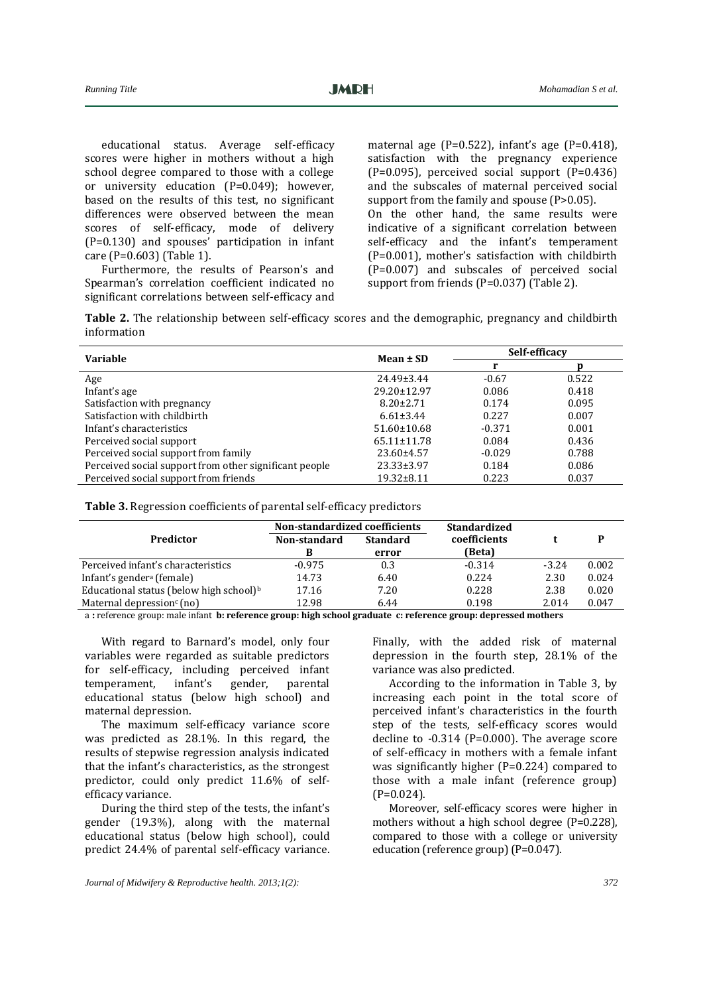educational status. Average self-efficacy scores were higher in mothers without a high school degree compared to those with a college or university education (P=0.049); however, based on the results of this test, no significant differences were observed between the mean scores of self-efficacy, mode of delivery (P=0.130) and spouses' participation in infant care (P=0.603) (Table 1).

Furthermore, the results of Pearson's and Spearman's correlation coefficient indicated no significant correlations between self-efficacy and maternal age (P=0.522), infant's age (P=0.418), satisfaction with the pregnancy experience  $(P=0.095)$ , perceived social support  $(P=0.436)$ and the subscales of maternal perceived social support from the family and spouse (P>0.05). On the other hand, the same results were indicative of a significant correlation between self-efficacy and the infant's temperament (P=0.001), mother's satisfaction with childbirth (P=0.007) and subscales of perceived social support from friends (P=0.037) (Table 2).

**Table 2.** The relationship between self-efficacy scores and the demographic, pregnancy and childbirth information

| <b>Variable</b>                                        | Mean $\pm$ SD     | Self-efficacy |       |  |
|--------------------------------------------------------|-------------------|---------------|-------|--|
|                                                        |                   |               |       |  |
| Age                                                    | $24.49 \pm 3.44$  | $-0.67$       | 0.522 |  |
| Infant's age                                           | 29.20±12.97       | 0.086         | 0.418 |  |
| Satisfaction with pregnancy                            | $8.20 \pm 2.71$   | 0.174         | 0.095 |  |
| Satisfaction with childbirth                           | $6.61 \pm 3.44$   | 0.227         | 0.007 |  |
| Infant's characteristics                               | $51.60 \pm 10.68$ | $-0.371$      | 0.001 |  |
| Perceived social support                               | $65.11 \pm 11.78$ | 0.084         | 0.436 |  |
| Perceived social support from family                   | 23.60±4.57        | $-0.029$      | 0.788 |  |
| Perceived social support from other significant people | 23.33±3.97        | 0.184         | 0.086 |  |
| Perceived social support from friends                  | $19.32 \pm 8.11$  | 0.223         | 0.037 |  |

**Table 3.** Regression coefficients of parental self-efficacy predictors

|                                                       | Non-standardized coefficients |                 | <b>Standardized</b>    |         |       |
|-------------------------------------------------------|-------------------------------|-----------------|------------------------|---------|-------|
| Predictor                                             | Non-standard                  | <b>Standard</b> | coefficients<br>(Beta) |         |       |
|                                                       |                               | error           |                        |         |       |
| Perceived infant's characteristics                    | $-0.975$                      | 0.3             | $-0.314$               | $-3.24$ | 0.002 |
| Infant's gender <sup>a</sup> (female)                 | 14.73                         | 6.40            | 0.224                  | 2.30    | 0.024 |
| Educational status (below high school) $\mathfrak{b}$ | 17.16                         | 7.20            | 0.228                  | 2.38    | 0.020 |
| Maternal depression $c$ (no)                          | 12.98                         | 6.44            | 0.198                  | 2.014   | 0.047 |

a **:** reference group: male infant **b: reference group: high school graduate c: reference group: depressed mothers**

With regard to Barnard's model, only four variables were regarded as suitable predictors for self-efficacy, including perceived infant<br>temperament, infant's gender, parental temperament, infant's gender, parental educational status (below high school) and maternal depression.

The maximum self-efficacy variance score was predicted as 28.1%. In this regard, the results of stepwise regression analysis indicated that the infant's characteristics, as the strongest predictor, could only predict 11.6% of selfefficacy variance.

During the third step of the tests, the infant's gender (19.3%), along with the maternal educational status (below high school), could predict 24.4% of parental self-efficacy variance.

Finally, with the added risk of maternal depression in the fourth step, 28.1% of the variance was also predicted.

According to the information in Table 3, by increasing each point in the total score of perceived infant's characteristics in the fourth step of the tests, self-efficacy scores would decline to -0.314 (P=0.000). The average score of self-efficacy in mothers with a female infant was significantly higher (P=0.224) compared to those with a male infant (reference group)  $(P=0.024)$ .

Moreover, self-efficacy scores were higher in mothers without a high school degree (P=0.228), compared to those with a college or university education (reference group) (P=0.047).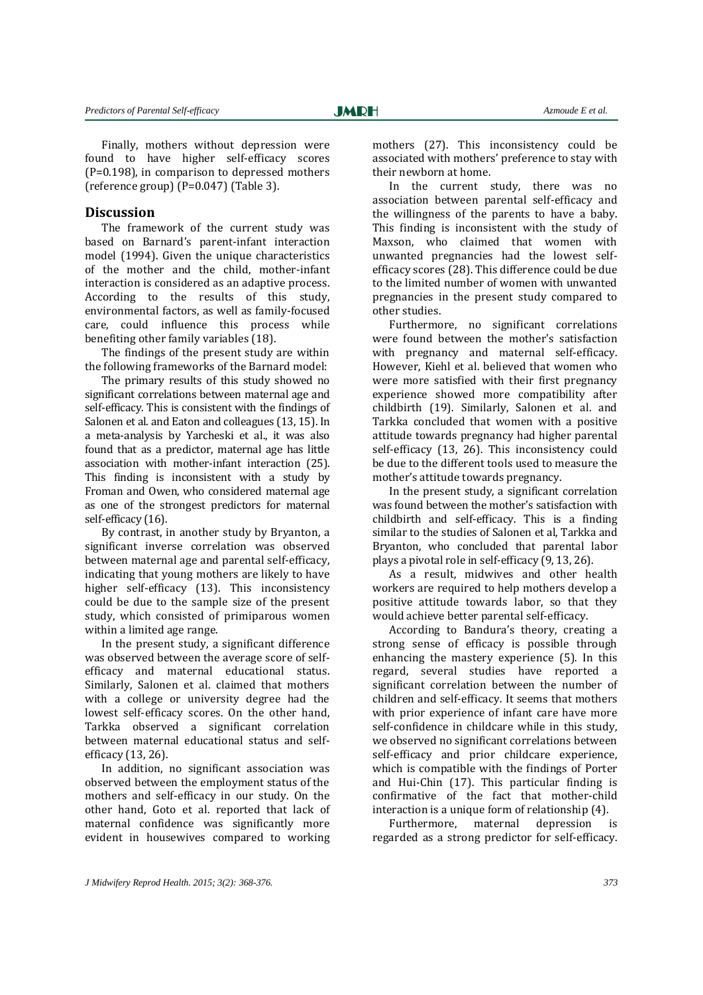Finally, mothers without depression were found to have higher self-efficacy scores (P=0.198), in comparison to depressed mothers (reference group)  $(P=0.047)$  (Table 3).

#### **Discussion**

The framework of the current study was based on Barnard's parent-infant interaction model (1994). Given the unique characteristics of the mother and the child, mother-infant interaction is considered as an adaptive process. According to the results of this study, environmental factors, as well as family-focused care, could influence this process while benefiting other family variables (18).

The findings of the present study are within the following frameworks of the Barnard model:

The primary results of this study showed no significant correlations between maternal age and self-efficacy. This is consistent with the findings of Salonen et al. and Eaton and colleagues (13, 15). In a meta-analysis by Yarcheski et al., it was also found that as a predictor, maternal age has little association with mother-infant interaction (25). This finding is inconsistent with a study by Froman and Owen, who considered maternal age as one of the strongest predictors for maternal self-efficacy (16).

By contrast, in another study by Bryanton, a significant inverse correlation was observed between maternal age and parental self-efficacy, indicating that young mothers are likely to have higher self-efficacy (13). This inconsistency could be due to the sample size of the present study, which consisted of primiparous women within a limited age range.

In the present study, a significant difference was observed between the average score of selfefficacy and maternal educational status. Similarly, Salonen et al. claimed that mothers with a college or university degree had the lowest self-efficacy scores. On the other hand, Tarkka observed a significant correlation between maternal educational status and selfefficacy (13, 26).

In addition, no significant association was observed between the employment status of the mothers and self-efficacy in our study. On the other hand, Goto et al. reported that lack of maternal confidence was significantly more evident in housewives compared to working mothers (27). This inconsistency could be associated with mothers' preference to stay with their newborn at home.

In the current study, there was no association between parental self-efficacy and the willingness of the parents to have a baby. This finding is inconsistent with the study of Maxson, who claimed that women with unwanted pregnancies had the lowest selfefficacy scores (28). This difference could be due to the limited number of women with unwanted pregnancies in the present study compared to other studies.

Furthermore, no significant correlations were found between the mother's satisfaction with pregnancy and maternal self-efficacy. However, Kiehl et al. believed that women who were more satisfied with their first pregnancy experience showed more compatibility after childbirth (19). Similarly, Salonen et al. and Tarkka concluded that women with a positive attitude towards pregnancy had higher parental self-efficacy (13, 26). This inconsistency could be due to the different tools used to measure the mother's attitude towards pregnancy.

In the present study, a significant correlation was found between the mother's satisfaction with childbirth and self-efficacy. This is a finding similar to the studies of Salonen et al, Tarkka and Bryanton, who concluded that parental labor plays a pivotal role in self-efficacy (9, 13, 26).

As a result, midwives and other health workers are required to help mothers develop a positive attitude towards labor, so that they would achieve better parental self-efficacy.

According to Bandura's theory, creating a strong sense of efficacy is possible through enhancing the mastery experience (5). In this regard, several studies have reported a significant correlation between the number of children and self-efficacy. It seems that mothers with prior experience of infant care have more self-confidence in childcare while in this study, we observed no significant correlations between self-efficacy and prior childcare experience, which is compatible with the findings of Porter and Hui-Chin (17). This particular finding is confirmative of the fact that mother-child interaction is a unique form of relationship (4).

Furthermore, maternal depression is regarded as a strong predictor for self-efficacy.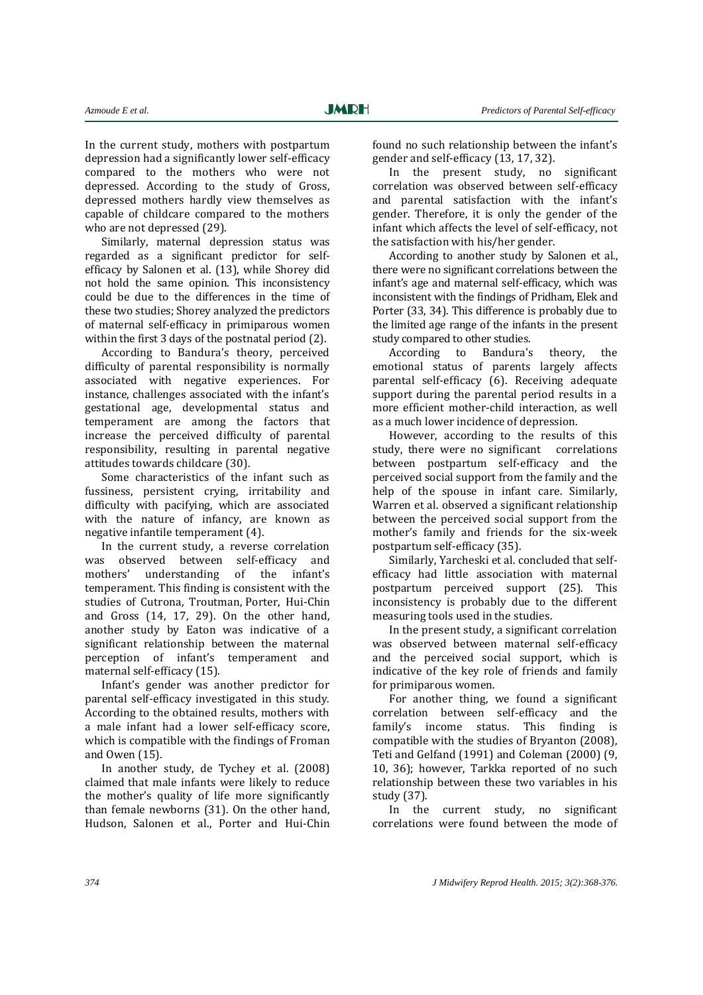In the current study, mothers with postpartum depression had a significantly lower self-efficacy compared to the mothers who were not depressed. According to the study of Gross, depressed mothers hardly view themselves as capable of childcare compared to the mothers who are not depressed (29).

Similarly, maternal depression status was regarded as a significant predictor for selfefficacy by Salonen et al. (13), while Shorey did not hold the same opinion. This inconsistency could be due to the differences in the time of these two studies; Shorey analyzed the predictors of maternal self-efficacy in primiparous women within the first 3 days of the postnatal period (2).

According to Bandura's theory, perceived difficulty of parental responsibility is normally associated with negative experiences. For instance, challenges associated with the infant's gestational age, developmental status and temperament are among the factors that increase the perceived difficulty of parental responsibility, resulting in parental negative attitudes towards childcare (30).

Some characteristics of the infant such as fussiness, persistent crying, irritability and difficulty with pacifying, which are associated with the nature of infancy, are known as negative infantile temperament (4).

In the current study, a reverse correlation was observed between self-efficacy and mothers' understanding of the infant's temperament. This finding is consistent with the studies of Cutrona, Troutman, Porter, Hui-Chin and Gross (14, 17, 29). On the other hand, another study by Eaton was indicative of a significant relationship between the maternal perception of infant's temperament and maternal self-efficacy (15).

Infant's gender was another predictor for parental self-efficacy investigated in this study. According to the obtained results, mothers with a male infant had a lower self-efficacy score, which is compatible with the findings of Froman and Owen (15).

In another study, de Tychey et al. (2008) claimed that male infants were likely to reduce the mother's quality of life more significantly than female newborns (31). On the other hand, Hudson, Salonen et al., Porter and Hui-Chin found no such relationship between the infant's gender and self-efficacy (13, 17, 32).

In the present study, no significant correlation was observed between self-efficacy and parental satisfaction with the infant's gender. Therefore, it is only the gender of the infant which affects the level of self-efficacy, not the satisfaction with his/her gender.

According to another study by Salonen et al., there were no significant correlations between the infant's age and maternal self-efficacy, which was inconsistent with the findings of Pridham, Elek and Porter (33, 34). This difference is probably due to the limited age range of the infants in the present study compared to other studies.

According to Bandura's theory, the emotional status of parents largely affects parental self-efficacy (6). Receiving adequate support during the parental period results in a more efficient mother-child interaction, as well as a much lower incidence of depression.

However, according to the results of this study, there were no significant correlations between postpartum self-efficacy and the perceived social support from the family and the help of the spouse in infant care. Similarly, Warren et al. observed a significant relationship between the perceived social support from the mother's family and friends for the six-week postpartum self-efficacy (35).

Similarly, Yarcheski et al. concluded that selfefficacy had little association with maternal postpartum perceived support (25). This inconsistency is probably due to the different measuring tools used in the studies.

In the present study, a significant correlation was observed between maternal self-efficacy and the perceived social support, which is indicative of the key role of friends and family for primiparous women.

For another thing, we found a significant correlation between self-efficacy and the family's income status. This finding is compatible with the studies of Bryanton (2008), Teti and Gelfand (1991) and Coleman (2000) (9, 10, 36); however, Tarkka reported of no such relationship between these two variables in his study (37).

In the current study, no significant correlations were found between the mode of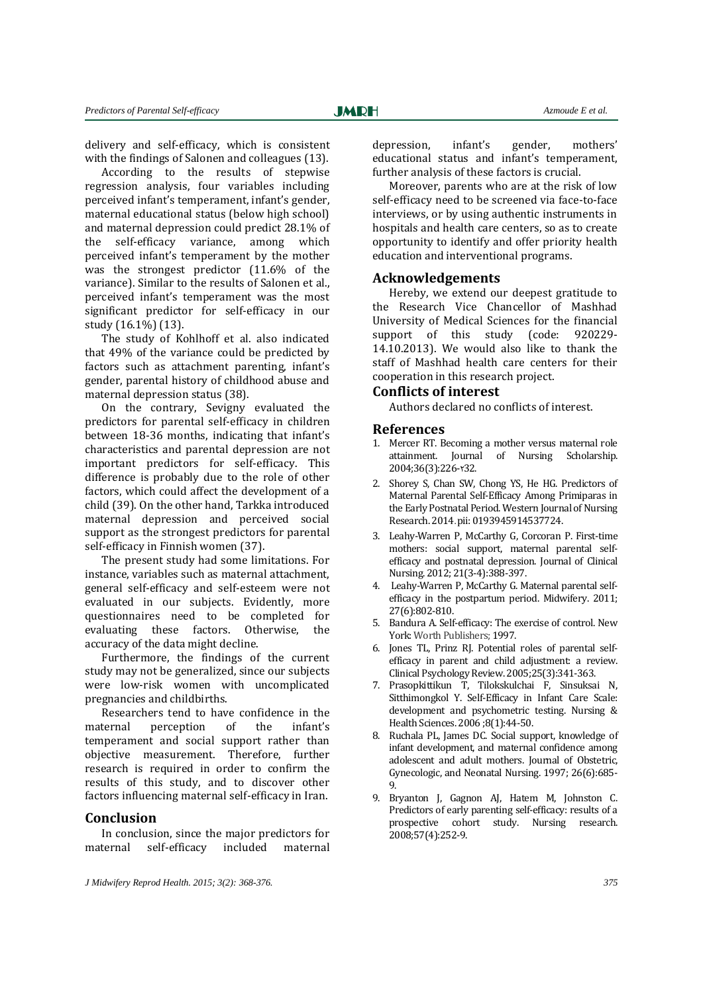delivery and self-efficacy, which is consistent with the findings of Salonen and colleagues (13).

According to the results of stepwise regression analysis, four variables including perceived infant's temperament, infant's gender, maternal educational status (below high school) and maternal depression could predict 28.1% of the self-efficacy variance, among which perceived infant's temperament by the mother was the strongest predictor (11.6% of the variance). Similar to the results of Salonen et al., perceived infant's temperament was the most significant predictor for self-efficacy in our study (16.1%) (13).

The study of Kohlhoff et al. also indicated that 49% of the variance could be predicted by factors such as attachment parenting, infant's gender, parental history of childhood abuse and maternal depression status (38).

On the contrary, Sevigny evaluated the predictors for parental self-efficacy in children between 18-36 months, indicating that infant's characteristics and parental depression are not important predictors for self-efficacy. This difference is probably due to the role of other factors, which could affect the development of a child (39). On the other hand, Tarkka introduced maternal depression and perceived social support as the strongest predictors for parental self-efficacy in Finnish women (37).

The present study had some limitations. For instance, variables such as maternal attachment, general self-efficacy and self-esteem were not evaluated in our subjects. Evidently, more questionnaires need to be completed for evaluating these factors. Otherwise, the accuracy of the data might decline.

Furthermore, the findings of the current study may not be generalized, since our subjects were low-risk women with uncomplicated pregnancies and childbirths.

Researchers tend to have confidence in the maternal perception of the infant's temperament and social support rather than objective measurement. Therefore, further research is required in order to confirm the results of this study, and to discover other factors influencing maternal self-efficacy in Iran.

#### **Conclusion**

In conclusion, since the major predictors for maternal self-efficacy included maternal depression, infant's gender, mothers' educational status and infant's temperament, further analysis of these factors is crucial.

Moreover, parents who are at the risk of low self-efficacy need to be screened via face-to-face interviews, or by using authentic instruments in hospitals and health care centers, so as to create opportunity to identify and offer priority health education and interventional programs.

#### **Acknowledgements**

Hereby, we extend our deepest gratitude to the Research Vice Chancellor of Mashhad University of Medical Sciences for the financial support of this study (code: 920229- 14.10.2013). We would also like to thank the staff of Mashhad health care centers for their cooperation in this research project.

#### **Conflicts of interest**

Authors declared no conflicts of interest.

#### **References**

- 1. Mercer RT. Becoming a mother versus maternal role attainment. Journal of Nursing Scholarship. 2004;36(3):226-232.
- 2. Shorey S, Chan SW, Chong YS, He HG. Predictors of Maternal Parental Self-Efficacy Among Primiparas in the Early Postnatal Period. Western Journal of Nursing Research. 2014. pii: 0193945914537724.
- 3. Leahy-Warren P, McCarthy G, Corcoran P. First-time mothers: social support, maternal parental selfefficacy and postnatal depression. Journal of Clinical Nursing. 2012; 21(3-4):388-397.
- 4. Leahy-Warren P, McCarthy G. Maternal parental selfefficacy in the postpartum period. Midwifery. 2011; 27(6):802-810.
- 5. Bandura A. Self-efficacy: The exercise of control. New York: Worth Publishers; 1997.
- 6. Jones TL, Prinz RJ. Potential roles of parental selfefficacy in parent and child adjustment: a review. Clinical Psychology Review. 2005;25(3):341-363.
- 7. Prasopkittikun T, Tilokskulchai F, Sinsuksai N, Sitthimongkol Y. Self-Efficacy in Infant Care Scale: development and psychometric testing. Nursing & Health Sciences. 2006 ;8(1):44-50.
- 8. Ruchala PL, James DC. Social support, knowledge of infant development, and maternal confidence among adolescent and adult mothers. Journal of Obstetric, Gynecologic, and Neonatal Nursing. 1997; 26(6):685-  $\mathbf{Q}$
- 9. Bryanton J, Gagnon AJ, Hatem M, Johnston C. Predictors of early parenting self-efficacy: results of a prospective cohort study. Nursing research. 2008;57(4):252-9.